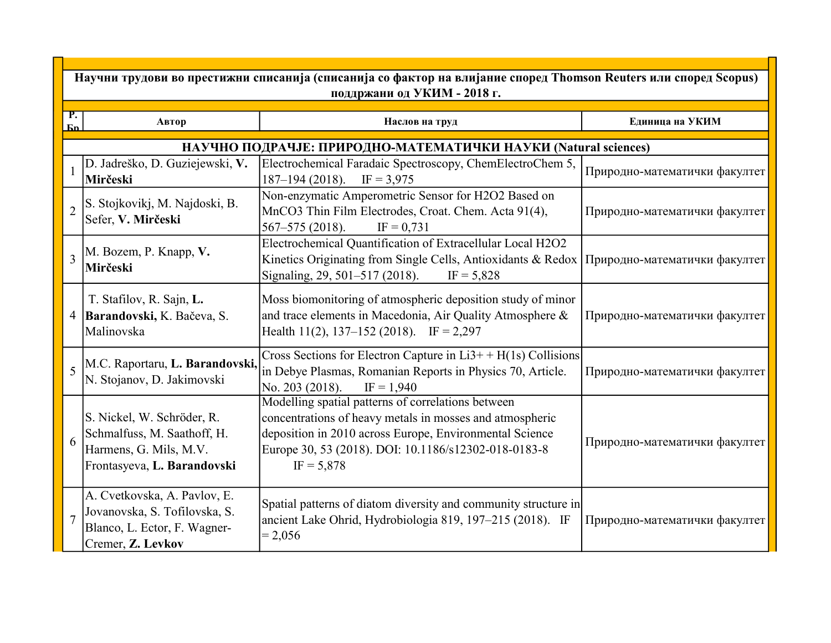|                          | Научни трудови во престижни списанија (списанија со фактор на влијание според Thomson Reuters или според Scopus)<br>поддржани од УКИМ - 2018 г. |                                                                                                                                                                                                                                                   |                               |  |
|--------------------------|-------------------------------------------------------------------------------------------------------------------------------------------------|---------------------------------------------------------------------------------------------------------------------------------------------------------------------------------------------------------------------------------------------------|-------------------------------|--|
| P.<br><b>Бn</b>          | Автор                                                                                                                                           | Наслов на труд                                                                                                                                                                                                                                    | Единица на УКИМ               |  |
|                          |                                                                                                                                                 | НАУЧНО ПОДРАЧЈЕ: ПРИРОДНО-МАТЕМАТИЧКИ НАУКИ (Natural sciences)                                                                                                                                                                                    |                               |  |
|                          | D. Jadreško, D. Guziejewski, V.<br>Mirčeski                                                                                                     | Electrochemical Faradaic Spectroscopy, ChemElectroChem 5,<br>$187 - 194(2018)$ .<br>$IF = 3,975$                                                                                                                                                  | Природно-математички факултет |  |
| $\overline{\mathcal{L}}$ | S. Stojkovikj, M. Najdoski, B.<br>Sefer, V. Mirčeski                                                                                            | Non-enzymatic Amperometric Sensor for H2O2 Based on<br>MnCO3 Thin Film Electrodes, Croat. Chem. Acta 91(4),<br>$567 - 575$ (2018).<br>$IF = 0,731$                                                                                                | Природно-математички факултет |  |
| $\overline{3}$           | M. Bozem, P. Knapp, V.<br>Mirčeski                                                                                                              | Electrochemical Quantification of Extracellular Local H2O2<br>Kinetics Originating from Single Cells, Antioxidants & Redox<br>Signaling, 29, 501-517 (2018).<br>$IF = 5,828$                                                                      | Природно-математички факултет |  |
| $\overline{4}$           | T. Stafilov, R. Sajn, L.<br>Barandovski, K. Bačeva, S.<br>Malinovska                                                                            | Moss biomonitoring of atmospheric deposition study of minor<br>and trace elements in Macedonia, Air Quality Atmosphere &<br>Health 11(2), 137–152 (2018). IF = 2,297                                                                              | Природно-математички факултет |  |
| 5                        | M.C. Raportaru, L. Barandovski,<br>N. Stojanov, D. Jakimovski                                                                                   | Cross Sections for Electron Capture in $Li3+ + H(1s)$ Collisions<br>in Debye Plasmas, Romanian Reports in Physics 70, Article.<br>No. 203 (2018).<br>$IF = 1,940$                                                                                 | Природно-математички факултет |  |
| 6                        | S. Nickel, W. Schröder, R.<br>Schmalfuss, M. Saathoff, H.<br>Harmens, G. Mils, M.V.<br>Frontasyeva, L. Barandovski                              | Modelling spatial patterns of correlations between<br>concentrations of heavy metals in mosses and atmospheric<br>deposition in 2010 across Europe, Environmental Science<br>Europe 30, 53 (2018). DOI: 10.1186/s12302-018-0183-8<br>$IF = 5,878$ | Природно-математички факултет |  |
| $\overline{7}$           | A. Cvetkovska, A. Pavlov, E.<br>Jovanovska, S. Tofilovska, S.<br>Blanco, L. Ector, F. Wagner-<br>Cremer, Z. Levkov                              | Spatial patterns of diatom diversity and community structure in<br>ancient Lake Ohrid, Hydrobiologia 819, 197-215 (2018). IF<br>$= 2,056$                                                                                                         | Природно-математички факултет |  |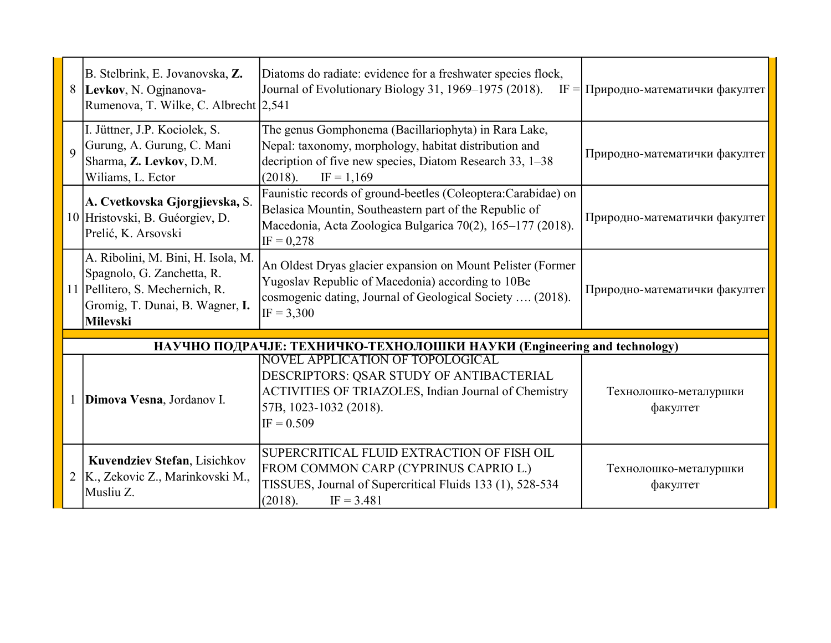|                | B. Stelbrink, E. Jovanovska, Z.<br>8  Levkov, N. Ogjnanova-<br>Rumenova, T. Wilke, C. Albrecht 2,541                                                      | Diatoms do radiate: evidence for a freshwater species flock,<br>Journal of Evolutionary Biology 31, 1969-1975 (2018).<br>$IF =$                                                                       | Природно-математички факултет     |
|----------------|-----------------------------------------------------------------------------------------------------------------------------------------------------------|-------------------------------------------------------------------------------------------------------------------------------------------------------------------------------------------------------|-----------------------------------|
| $\overline{Q}$ | I. Jüttner, J.P. Kociolek, S.<br>Gurung, A. Gurung, C. Mani<br>Sharma, Z. Levkov, D.M.<br>Wiliams, L. Ector                                               | The genus Gomphonema (Bacillariophyta) in Rara Lake,<br>Nepal: taxonomy, morphology, habitat distribution and<br>decription of five new species, Diatom Research 33, 1–38<br>(2018).<br>$IF = 1,169$  | Природно-математички факултет     |
|                | A. Cvetkovska Gjorgjievska, S.<br>10 Hristovski, B. Guéorgiev, D.<br>Prelić, K. Arsovski                                                                  | Faunistic records of ground-beetles (Coleoptera:Carabidae) on<br>Belasica Mountin, Southeastern part of the Republic of<br>Macedonia, Acta Zoologica Bulgarica 70(2), 165-177 (2018).<br>$IF = 0,278$ | Природно-математички факултет     |
|                | A. Ribolini, M. Bini, H. Isola, M.<br>Spagnolo, G. Zanchetta, R.<br>11 Pellitero, S. Mechernich, R.<br>Gromig, T. Dunai, B. Wagner, I.<br><b>Milevski</b> | An Oldest Dryas glacier expansion on Mount Pelister (Former<br>Yugoslav Republic of Macedonia) according to 10Be<br>cosmogenic dating, Journal of Geological Society  (2018).<br>$IF = 3,300$         | Природно-математички факултет     |
|                |                                                                                                                                                           | НАУЧНО ПОДРАЧЈЕ: ТЕХНИЧКО-ТЕХНОЛОШКИ НАУКИ (Engineering and technology)                                                                                                                               |                                   |
|                | Dimova Vesna, Jordanov I.                                                                                                                                 | NOVEL APPLICATION OF TOPOLOGICAL<br>DESCRIPTORS: QSAR STUDY OF ANTIBACTERIAL<br>ACTIVITIES OF TRIAZOLES, Indian Journal of Chemistry<br>57B, 1023-1032 (2018).<br>$IF = 0.509$                        | Технолошко-металуршки<br>факултет |
| 2              | Kuvendziev Stefan, Lisichkov<br>K., Zekovic Z., Marinkovski M.,<br>Musliu Z.                                                                              | SUPERCRITICAL FLUID EXTRACTION OF FISH OIL<br>FROM COMMON CARP (CYPRINUS CAPRIO L.)<br>TISSUES, Journal of Supercritical Fluids 133 (1), 528-534<br>(2018).<br>$IF = 3.481$                           | Технолошко-металуршки<br>факултет |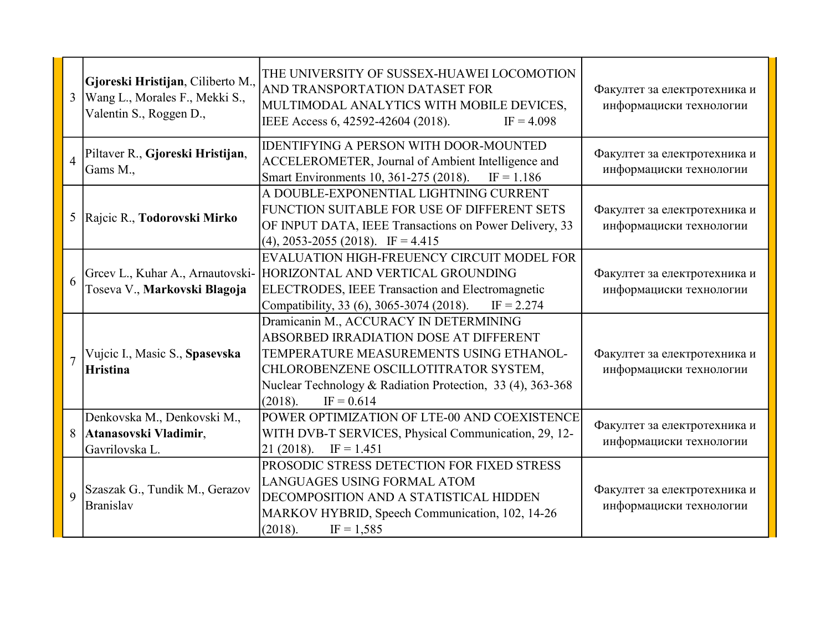| 3              | Gjoreski Hristijan, Ciliberto M.,<br>Wang L., Morales F., Mekki S.,<br>Valentin S., Roggen D., | THE UNIVERSITY OF SUSSEX-HUAWEI LOCOMOTION<br>AND TRANSPORTATION DATASET FOR<br>MULTIMODAL ANALYTICS WITH MOBILE DEVICES,<br>IEEE Access 6, 42592-42604 (2018).<br>$IF = 4.098$                                                                               | Факултет за електротехника и<br>информациски технологии |
|----------------|------------------------------------------------------------------------------------------------|---------------------------------------------------------------------------------------------------------------------------------------------------------------------------------------------------------------------------------------------------------------|---------------------------------------------------------|
| $\overline{4}$ | Piltaver R., Gjoreski Hristijan,<br>Gams M.,                                                   | <b>IDENTIFYING A PERSON WITH DOOR-MOUNTED</b><br>ACCELEROMETER, Journal of Ambient Intelligence and<br>Smart Environments 10, 361-275 (2018).<br>$IF = 1.186$                                                                                                 | Факултет за електротехника и<br>информациски технологии |
| 5              | Rajcic R., Todorovski Mirko                                                                    | A DOUBLE-EXPONENTIAL LIGHTNING CURRENT<br>FUNCTION SUITABLE FOR USE OF DIFFERENT SETS<br>OF INPUT DATA, IEEE Transactions on Power Delivery, 33<br>$(4)$ , 2053-2055 (2018). IF = 4.415                                                                       | Факултет за електротехника и<br>информациски технологии |
| 6              | Greev L., Kuhar A., Arnautovski-<br>Toseva V., Markovski Blagoja                               | EVALUATION HIGH-FREUENCY CIRCUIT MODEL FOR<br>HORIZONTAL AND VERTICAL GROUNDING<br><b>ELECTRODES, IEEE Transaction and Electromagnetic</b><br>Compatibility, 33 (6), 3065-3074 (2018).<br>$IF = 2.274$                                                        | Факултет за електротехника и<br>информациски технологии |
| $\overline{7}$ | Vujcic I., Masic S., Spasevska<br><b>Hristina</b>                                              | Dramicanin M., ACCURACY IN DETERMINING<br>ABSORBED IRRADIATION DOSE AT DIFFERENT<br>TEMPERATURE MEASUREMENTS USING ETHANOL-<br>CHLOROBENZENE OSCILLOTITRATOR SYSTEM,<br>Nuclear Technology & Radiation Protection, 33 (4), 363-368<br>(2018).<br>$IF = 0.614$ | Факултет за електротехника и<br>информациски технологии |
| 8              | Denkovska M., Denkovski M.,<br>Atanasovski Vladimir,<br>Gavrilovska L.                         | POWER OPTIMIZATION OF LTE-00 AND COEXISTENCE<br>WITH DVB-T SERVICES, Physical Communication, 29, 12-<br>21(2018).<br>$IF = 1.451$                                                                                                                             | Факултет за електротехника и<br>информациски технологии |
| $\overline{Q}$ | Szaszak G., Tundik M., Gerazov<br><b>Branislav</b>                                             | PROSODIC STRESS DETECTION FOR FIXED STRESS<br>LANGUAGES USING FORMAL ATOM<br>DECOMPOSITION AND A STATISTICAL HIDDEN<br>MARKOV HYBRID, Speech Communication, 102, 14-26<br>(2018).<br>$IF = 1,585$                                                             | Факултет за електротехника и<br>информациски технологии |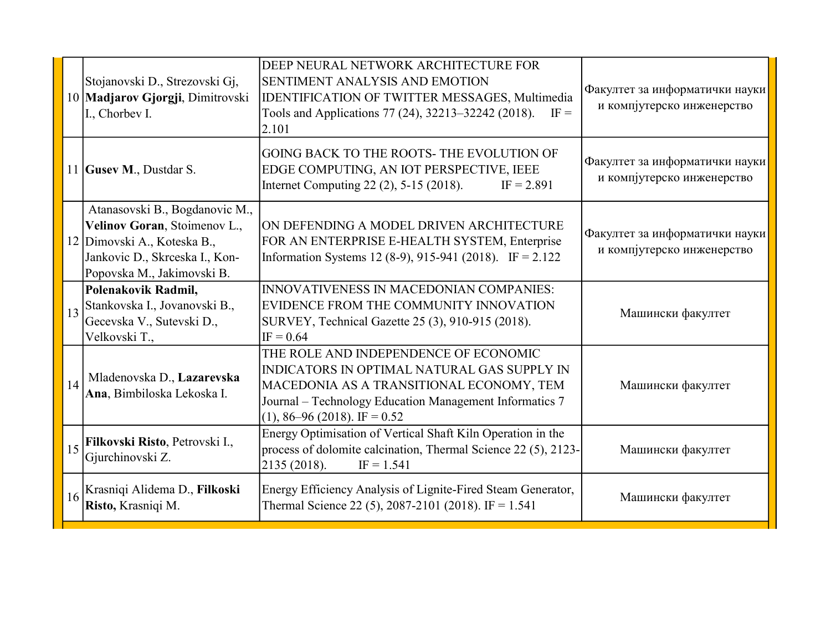|    | Stojanovski D., Strezovski Gj,<br>10 Madjarov Gjorgji, Dimitrovski<br>I., Chorbev I.                                                                          | DEEP NEURAL NETWORK ARCHITECTURE FOR<br>SENTIMENT ANALYSIS AND EMOTION<br><b>IDENTIFICATION OF TWITTER MESSAGES, Multimedia</b><br>Tools and Applications 77 (24), 32213-32242 (2018).<br>$IF =$<br>2.101                        | Факултет за информатички науки<br>и компјутерско инженерство |
|----|---------------------------------------------------------------------------------------------------------------------------------------------------------------|----------------------------------------------------------------------------------------------------------------------------------------------------------------------------------------------------------------------------------|--------------------------------------------------------------|
|    | 11 Gusev M., Dustdar S.                                                                                                                                       | GOING BACK TO THE ROOTS-THE EVOLUTION OF<br>EDGE COMPUTING, AN IOT PERSPECTIVE, IEEE<br>Internet Computing 22 (2), 5-15 (2018).<br>$IF = 2.891$                                                                                  | Факултет за информатички науки<br>и компјутерско инженерство |
|    | Atanasovski B., Bogdanovic M.,<br>Velinov Goran, Stoimenov L.,<br>12 Dimovski A., Koteska B.,<br>Jankovic D., Skrceska I., Kon-<br>Popovska M., Jakimovski B. | ON DEFENDING A MODEL DRIVEN ARCHITECTURE<br>FOR AN ENTERPRISE E-HEALTH SYSTEM, Enterprise<br>Information Systems 12 (8-9), 915-941 (2018). IF = 2.122                                                                            | Факултет за информатички науки<br>и компјутерско инженерство |
| 13 | Polenakovik Radmil,<br>Stankovska I., Jovanovski B.,<br>Gecevska V., Sutevski D.,<br>Velkovski T.,                                                            | <b>INNOVATIVENESS IN MACEDONIAN COMPANIES:</b><br>EVIDENCE FROM THE COMMUNITY INNOVATION<br>SURVEY, Technical Gazette 25 (3), 910-915 (2018).<br>$IF = 0.64$                                                                     | Машински факултет                                            |
| 14 | Mladenovska D., Lazarevska<br>Ana, Bimbiloska Lekoska I.                                                                                                      | THE ROLE AND INDEPENDENCE OF ECONOMIC<br>INDICATORS IN OPTIMAL NATURAL GAS SUPPLY IN<br>MACEDONIA AS A TRANSITIONAL ECONOMY, TEM<br>Journal - Technology Education Management Informatics 7<br>$(1), 86 - 96 (2018)$ . IF = 0.52 | Машински факултет                                            |
| 15 | Filkovski Risto, Petrovski I.,<br>Gjurchinovski Z.                                                                                                            | Energy Optimisation of Vertical Shaft Kiln Operation in the<br>process of dolomite calcination, Thermal Science 22 (5), 2123-<br>2135(2018).<br>$IF = 1.541$                                                                     | Машински факултет                                            |
| 16 | Krasniqi Alidema D., Filkoski<br>Risto, Krasniqi M.                                                                                                           | Energy Efficiency Analysis of Lignite-Fired Steam Generator,<br>Thermal Science 22 (5), 2087-2101 (2018). IF = 1.541                                                                                                             | Машински факултет                                            |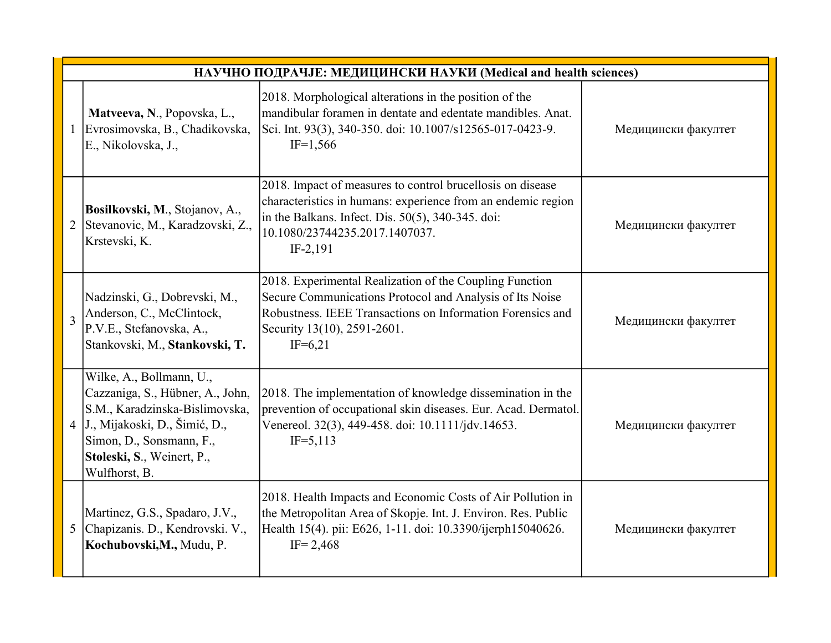|   | НАУЧНО ПОДРАЧЈЕ: МЕДИЦИНСКИ НАУКИ (Medical and health sciences)                                                                                                                                              |                                                                                                                                                                                                                               |                     |  |
|---|--------------------------------------------------------------------------------------------------------------------------------------------------------------------------------------------------------------|-------------------------------------------------------------------------------------------------------------------------------------------------------------------------------------------------------------------------------|---------------------|--|
|   | Matveeva, N., Popovska, L.,<br>Evrosimovska, B., Chadikovska,<br>E., Nikolovska, J.,                                                                                                                         | 2018. Morphological alterations in the position of the<br>mandibular foramen in dentate and edentate mandibles. Anat.<br>Sci. Int. 93(3), 340-350. doi: 10.1007/s12565-017-0423-9.<br>$IF=1,566$                              | Медицински факултет |  |
| 2 | Bosilkovski, M., Stojanov, A.,<br>Stevanovic, M., Karadzovski, Z.,<br>Krstevski, K.                                                                                                                          | 2018. Impact of measures to control brucellosis on disease<br>characteristics in humans: experience from an endemic region<br>in the Balkans. Infect. Dis. 50(5), 340-345. doi:<br>10.1080/23744235.2017.1407037.<br>IF-2,191 | Медицински факултет |  |
| 3 | Nadzinski, G., Dobrevski, M.,<br>Anderson, C., McClintock,<br>P.V.E., Stefanovska, A.,<br>Stankovski, M., Stankovski, T.                                                                                     | 2018. Experimental Realization of the Coupling Function<br>Secure Communications Protocol and Analysis of Its Noise<br>Robustness. IEEE Transactions on Information Forensics and<br>Security 13(10), 2591-2601.<br>$IF=6,21$ | Медицински факултет |  |
|   | Wilke, A., Bollmann, U.,<br>Cazzaniga, S., Hübner, A., John,<br>S.M., Karadzinska-Bislimovska,<br>4 J., Mijakoski, D., Šimić, D.,<br>Simon, D., Sonsmann, F.,<br>Stoleski, S., Weinert, P.,<br>Wulfhorst, B. | 2018. The implementation of knowledge dissemination in the<br>prevention of occupational skin diseases. Eur. Acad. Dermatol.<br>Venereol. 32(3), 449-458. doi: 10.1111/jdv.14653.<br>$IF = 5,113$                             | Медицински факултет |  |
|   | Martinez, G.S., Spadaro, J.V.,<br>5 Chapizanis. D., Kendrovski. V.,<br>Kochubovski, M., Mudu, P.                                                                                                             | 2018. Health Impacts and Economic Costs of Air Pollution in<br>the Metropolitan Area of Skopje. Int. J. Environ. Res. Public<br>Health 15(4). pii: E626, 1-11. doi: 10.3390/ijerph15040626.<br>$IF = 2,468$                   | Медицински факултет |  |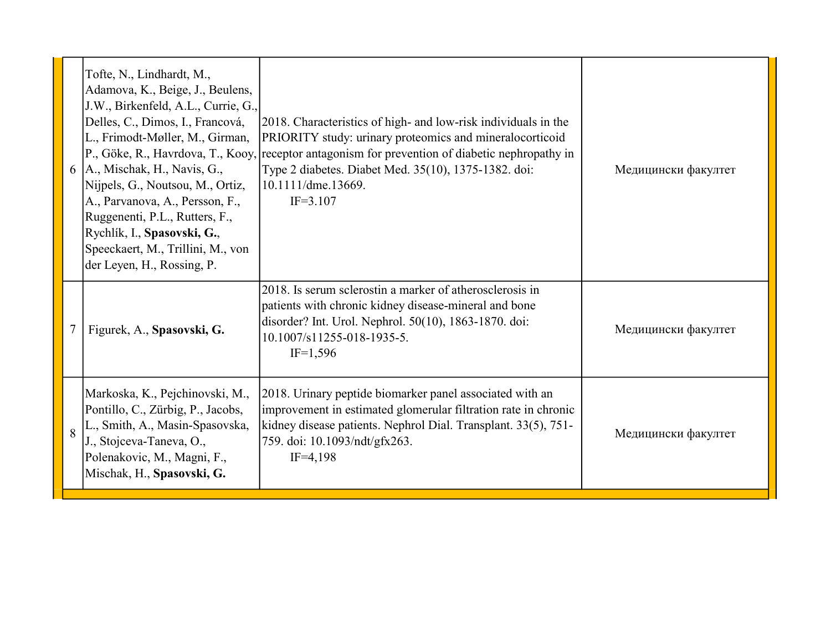| 6              | Tofte, N., Lindhardt, M.,<br>Adamova, K., Beige, J., Beulens,<br>J.W., Birkenfeld, A.L., Currie, G.,<br>Delles, C., Dimos, I., Francová,<br>L., Frimodt-Møller, M., Girman,<br>A., Mischak, H., Navis, G.,<br>Nijpels, G., Noutsou, M., Ortiz,<br>A., Parvanova, A., Persson, F.,<br>Ruggenenti, P.L., Rutters, F.,<br>Rychlík, I., Spasovski, G.,<br>Speeckaert, M., Trillini, M., von<br>der Leyen, H., Rossing, P. | 2018. Characteristics of high- and low-risk individuals in the<br>PRIORITY study: urinary proteomics and mineralocorticoid<br>$[P., Göke, R., Havrdova, T., Kooy,   receptor antagonist for prevention of diabetic nephropathy in$<br>Type 2 diabetes. Diabet Med. 35(10), 1375-1382. doi:<br>10.1111/dme.13669.<br>$IF = 3.107$ | Медицински факултет |
|----------------|-----------------------------------------------------------------------------------------------------------------------------------------------------------------------------------------------------------------------------------------------------------------------------------------------------------------------------------------------------------------------------------------------------------------------|----------------------------------------------------------------------------------------------------------------------------------------------------------------------------------------------------------------------------------------------------------------------------------------------------------------------------------|---------------------|
|                | Figurek, A., Spasovski, G.                                                                                                                                                                                                                                                                                                                                                                                            | 2018. Is serum sclerostin a marker of atherosclerosis in<br>patients with chronic kidney disease-mineral and bone<br>disorder? Int. Urol. Nephrol. 50(10), 1863-1870. doi:<br>10.1007/s11255-018-1935-5.<br>$IF=1,596$                                                                                                           | Медицински факултет |
| $\overline{8}$ | Markoska, K., Pejchinovski, M.,<br>Pontillo, C., Zürbig, P., Jacobs,<br>L., Smith, A., Masin-Spasovska,<br>J., Stojceva-Taneva, O.,<br>Polenakovic, M., Magni, F.,<br>Mischak, H., Spasovski, G.                                                                                                                                                                                                                      | 2018. Urinary peptide biomarker panel associated with an<br>improvement in estimated glomerular filtration rate in chronic<br>kidney disease patients. Nephrol Dial. Transplant. 33(5), 751-<br>759. doi: 10.1093/ndt/gfx263.<br>$IF=4,198$                                                                                      | Медицински факултет |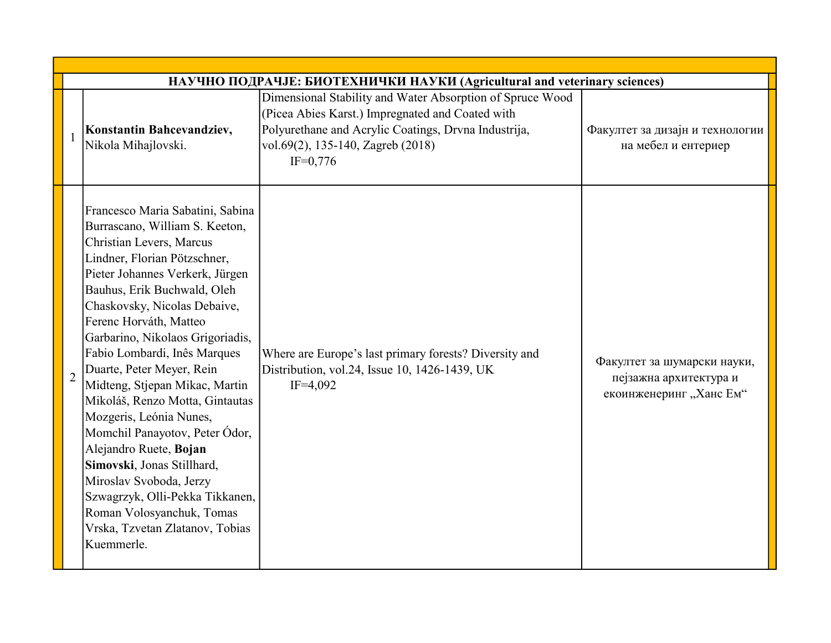|                | НАУЧНО ПОДРАЧЈЕ: БИОТЕХНИЧКИ НАУКИ (Agricultural and veterinary sciences)                                                                                                                                                                                                                                                                                                                                                                                                                                                                                                                                                                                                                         |                                                                                                                                                                                                                          |                                                                                  |  |  |
|----------------|---------------------------------------------------------------------------------------------------------------------------------------------------------------------------------------------------------------------------------------------------------------------------------------------------------------------------------------------------------------------------------------------------------------------------------------------------------------------------------------------------------------------------------------------------------------------------------------------------------------------------------------------------------------------------------------------------|--------------------------------------------------------------------------------------------------------------------------------------------------------------------------------------------------------------------------|----------------------------------------------------------------------------------|--|--|
|                | Konstantin Bahcevandziev,<br>Nikola Mihajlovski.                                                                                                                                                                                                                                                                                                                                                                                                                                                                                                                                                                                                                                                  | Dimensional Stability and Water Absorption of Spruce Wood<br>(Picea Abies Karst.) Impregnated and Coated with<br>Polyurethane and Acrylic Coatings, Drvna Industrija,<br>vol.69(2), 135-140, Zagreb (2018)<br>$IF=0,776$ | Факултет за дизајн и технологии<br>на мебел и ентериер                           |  |  |
| $\overline{2}$ | Francesco Maria Sabatini, Sabina<br>Burrascano, William S. Keeton,<br>Christian Levers, Marcus<br>Lindner, Florian Pötzschner,<br>Pieter Johannes Verkerk, Jürgen<br>Bauhus, Erik Buchwald, Oleh<br>Chaskovsky, Nicolas Debaive,<br>Ferenc Horváth, Matteo<br>Garbarino, Nikolaos Grigoriadis,<br>Fabio Lombardi, Inês Marques<br>Duarte, Peter Meyer, Rein<br>Midteng, Stjepan Mikac, Martin<br>Mikoláš, Renzo Motta, Gintautas<br>Mozgeris, Leónia Nunes,<br>Momchil Panayotov, Peter Ódor,<br>Alejandro Ruete, Bojan<br>Simovski, Jonas Stillhard,<br>Miroslav Svoboda, Jerzy<br>Szwagrzyk, Olli-Pekka Tikkanen,<br>Roman Volosyanchuk, Tomas<br>Vrska, Tzvetan Zlatanov, Tobias<br>Kuemmerle. | Where are Europe's last primary forests? Diversity and<br>Distribution, vol.24, Issue 10, 1426-1439, UK<br>$IF=4,092$                                                                                                    | Факултет за шумарски науки,<br>пејзажна архитектура и<br>екоинженеринг "Ханс Ем" |  |  |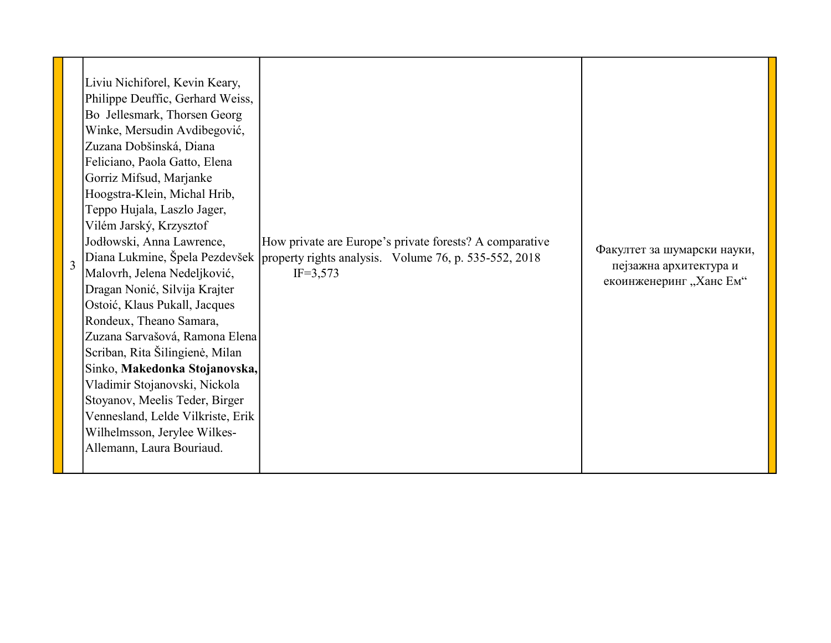| $\overline{3}$ | Liviu Nichiforel, Kevin Keary,<br>Philippe Deuffic, Gerhard Weiss,<br>Bo Jellesmark, Thorsen Georg<br>Winke, Mersudin Avdibegović,<br>Zuzana Dobšinská, Diana<br>Feliciano, Paola Gatto, Elena<br>Gorriz Mifsud, Marjanke<br>Hoogstra-Klein, Michal Hrib,<br>Teppo Hujala, Laszlo Jager,<br>Vilém Jarský, Krzysztof<br>Jodłowski, Anna Lawrence,<br>Malovrh, Jelena Nedeljković,<br>Dragan Nonić, Silvija Krajter<br>Ostoić, Klaus Pukall, Jacques<br>Rondeux, Theano Samara,<br>Zuzana Sarvašová, Ramona Elena<br>Scriban, Rita Šilingienė, Milan<br>Sinko, Makedonka Stojanovska,<br>Vladimir Stojanovski, Nickola<br>Stoyanov, Meelis Teder, Birger<br>Vennesland, Lelde Vilkriste, Erik<br>Wilhelmsson, Jerylee Wilkes-<br>Allemann, Laura Bouriaud. | How private are Europe's private forests? A comparative<br>Diana Lukmine, Špela Pezdevšek   property rights analysis. Volume 76, p. 535-552, 2018<br>$IF=3,573$ | Факултет за шумарски науки,<br>пејзажна архитектура и<br>екоинженеринг "Ханс Ем" |
|----------------|----------------------------------------------------------------------------------------------------------------------------------------------------------------------------------------------------------------------------------------------------------------------------------------------------------------------------------------------------------------------------------------------------------------------------------------------------------------------------------------------------------------------------------------------------------------------------------------------------------------------------------------------------------------------------------------------------------------------------------------------------------|-----------------------------------------------------------------------------------------------------------------------------------------------------------------|----------------------------------------------------------------------------------|
|----------------|----------------------------------------------------------------------------------------------------------------------------------------------------------------------------------------------------------------------------------------------------------------------------------------------------------------------------------------------------------------------------------------------------------------------------------------------------------------------------------------------------------------------------------------------------------------------------------------------------------------------------------------------------------------------------------------------------------------------------------------------------------|-----------------------------------------------------------------------------------------------------------------------------------------------------------------|----------------------------------------------------------------------------------|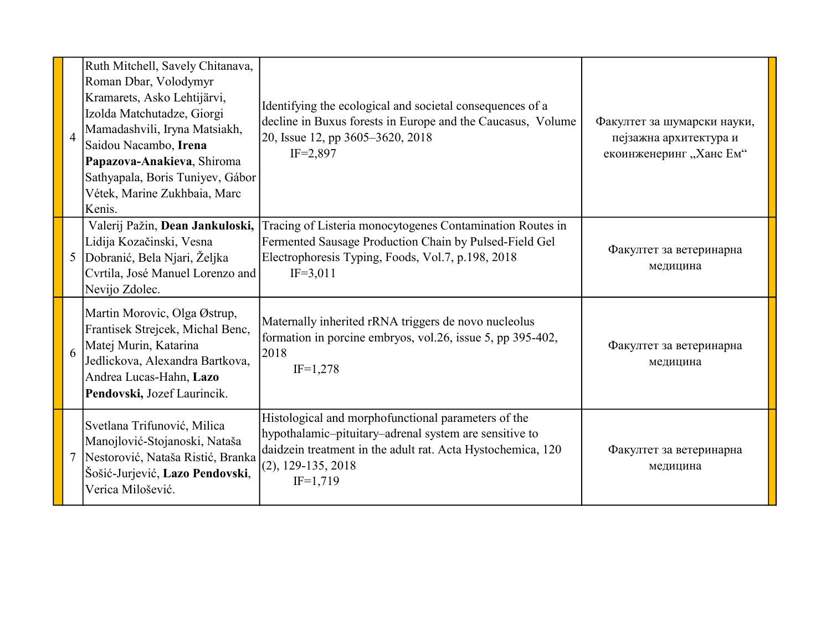| $\overline{4}$ | Ruth Mitchell, Savely Chitanava,<br>Roman Dbar, Volodymyr<br>Kramarets, Asko Lehtijärvi,<br>Izolda Matchutadze, Giorgi<br>Mamadashvili, Iryna Matsiakh,<br>Saidou Nacambo, Irena<br>Papazova-Anakieva, Shiroma<br>Sathyapala, Boris Tuniyev, Gábor<br>Vétek, Marine Zukhbaia, Marc<br>Kenis. | Identifying the ecological and societal consequences of a<br>decline in Buxus forests in Europe and the Caucasus, Volume<br>20, Issue 12, pp 3605-3620, 2018<br>$IF = 2,897$                                       | Факултет за шумарски науки,<br>пејзажна архитектура и<br>екоинженеринг "Ханс Ем" |
|----------------|----------------------------------------------------------------------------------------------------------------------------------------------------------------------------------------------------------------------------------------------------------------------------------------------|--------------------------------------------------------------------------------------------------------------------------------------------------------------------------------------------------------------------|----------------------------------------------------------------------------------|
| 5              | Valerij Pažin, Dean Jankuloski,<br>Lidija Kozačinski, Vesna<br>Dobranić, Bela Njari, Željka<br>Cvrtila, José Manuel Lorenzo and<br>Nevijo Zdolec.                                                                                                                                            | Tracing of Listeria monocytogenes Contamination Routes in<br>Fermented Sausage Production Chain by Pulsed-Field Gel<br>Electrophoresis Typing, Foods, Vol.7, p.198, 2018<br>$IF=3,011$                             | Факултет за ветеринарна<br>медицина                                              |
| 6              | Martin Morovic, Olga Østrup,<br>Frantisek Strejcek, Michal Benc,<br>Matej Murin, Katarina<br>Jedlickova, Alexandra Bartkova,<br>Andrea Lucas-Hahn, Lazo<br>Pendovski, Jozef Laurincik.                                                                                                       | Maternally inherited rRNA triggers de novo nucleolus<br>formation in porcine embryos, vol.26, issue 5, pp 395-402,<br>2018<br>$IF=1,278$                                                                           | Факултет за ветеринарна<br>медицина                                              |
|                | Svetlana Trifunović, Milica<br>Manojlović-Stojanoski, Nataša<br>Nestorović, Nataša Ristić, Branka<br>Šošić-Jurjević, Lazo Pendovski,<br>Verica Milošević.                                                                                                                                    | Histological and morphofunctional parameters of the<br>hypothalamic-pituitary-adrenal system are sensitive to<br>daidzein treatment in the adult rat. Acta Hystochemica, 120<br>$(2), 129-135, 2018$<br>$IF=1,719$ | Факултет за ветеринарна<br>медицина                                              |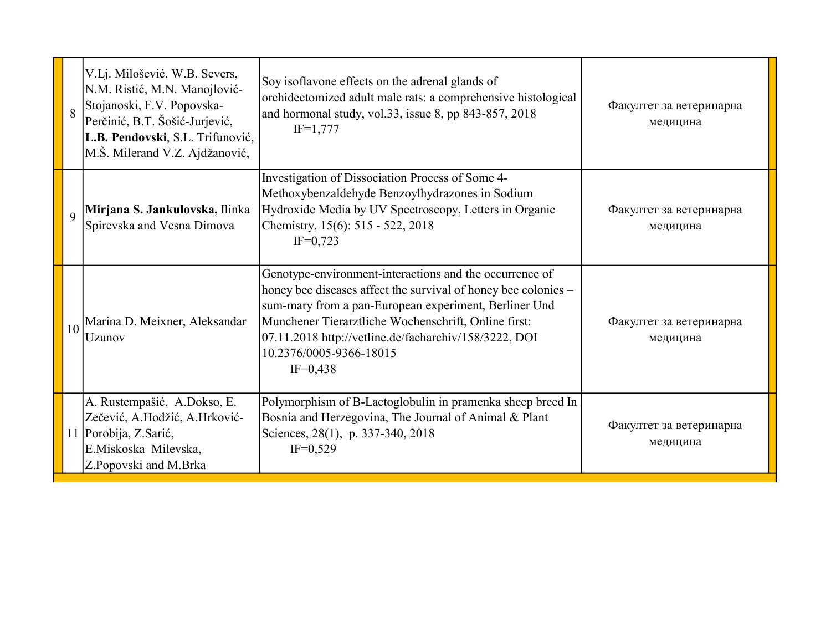| 8               | V.Lj. Milošević, W.B. Severs,<br>N.M. Ristić, M.N. Manojlović-<br>Stojanoski, F.V. Popovska-<br>Perčinić, B.T. Šošić-Jurjević,<br>L.B. Pendovski, S.L. Trifunović,<br>M.Š. Milerand V.Z. Ajdžanović, | Soy isoflavone effects on the adrenal glands of<br>orchidectomized adult male rats: a comprehensive histological<br>and hormonal study, vol.33, issue 8, pp 843-857, 2018<br>$IF=1,777$                                                                                                                                                      | Факултет за ветеринарна<br>медицина |
|-----------------|------------------------------------------------------------------------------------------------------------------------------------------------------------------------------------------------------|----------------------------------------------------------------------------------------------------------------------------------------------------------------------------------------------------------------------------------------------------------------------------------------------------------------------------------------------|-------------------------------------|
| 9               | Mirjana S. Jankulovska, Ilinka<br>Spirevska and Vesna Dimova                                                                                                                                         | Investigation of Dissociation Process of Some 4-<br>Methoxybenzaldehyde Benzoylhydrazones in Sodium<br>Hydroxide Media by UV Spectroscopy, Letters in Organic<br>Chemistry, 15(6): 515 - 522, 2018<br>$IF=0,723$                                                                                                                             | Факултет за ветеринарна<br>медицина |
| 10 <sup>1</sup> | Marina D. Meixner, Aleksandar<br>Uzunov                                                                                                                                                              | Genotype-environment-interactions and the occurrence of<br>honey bee diseases affect the survival of honey bee colonies –<br>sum-mary from a pan-European experiment, Berliner Und<br>Munchener Tierarztliche Wochenschrift, Online first:<br>07.11.2018 http://vetline.de/facharchiv/158/3222, DOI<br>10.2376/0005-9366-18015<br>$IF=0,438$ | Факултет за ветеринарна<br>медицина |
|                 | A. Rustempašić, A.Dokso, E.<br>Zečević, A.Hodžić, A.Hrković-<br>11 Porobija, Z.Sarić,<br>E.Miskoska-Milevska,<br>Z.Popovski and M.Brka                                                               | Polymorphism of B-Lactoglobulin in pramenka sheep breed In<br>Bosnia and Herzegovina, The Journal of Animal & Plant<br>Sciences, 28(1), p. 337-340, 2018<br>$IF=0,529$                                                                                                                                                                       | Факултет за ветеринарна<br>медицина |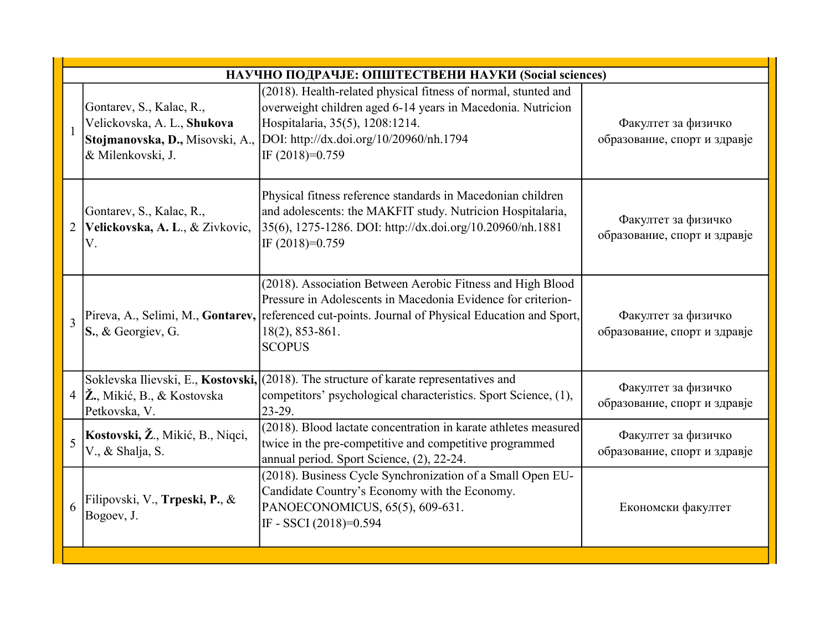|                          | НАУЧНО ПОДРАЧЈЕ: ОПШТЕСТВЕНИ НАУКИ (Social sciences)                                                            |                                                                                                                                                                                                                                                                     |                                                     |  |
|--------------------------|-----------------------------------------------------------------------------------------------------------------|---------------------------------------------------------------------------------------------------------------------------------------------------------------------------------------------------------------------------------------------------------------------|-----------------------------------------------------|--|
|                          | Gontarev, S., Kalac, R.,<br>Velickovska, A. L., Shukova<br>Stojmanovska, D., Misovski, A.,<br>& Milenkovski, J. | (2018). Health-related physical fitness of normal, stunted and<br>overweight children aged 6-14 years in Macedonia. Nutricion<br>Hospitalaria, 35(5), 1208:1214.<br>DOI: http://dx.doi.org/10/20960/nh.1794<br>IF (2018)=0.759                                      | Факултет за физичко<br>образование, спорт и здравје |  |
|                          | Gontarev, S., Kalac, R.,<br>Velickovska, A. L., & Zivkovic,<br>V.                                               | Physical fitness reference standards in Macedonian children<br>and adolescents: the MAKFIT study. Nutricion Hospitalaria,<br>35(6), 1275-1286. DOI: http://dx.doi.org/10.20960/nh.1881<br>IF $(2018)=0.759$                                                         | Факултет за физичко<br>образование, спорт и здравје |  |
| $\overline{\mathcal{E}}$ | S., & Georgiev, G.                                                                                              | (2018). Association Between Aerobic Fitness and High Blood<br>Pressure in Adolescents in Macedonia Evidence for criterion-<br>Pireva, A., Selimi, M., Gontarev, referenced cut-points. Journal of Physical Education and Sport,<br>18(2), 853-861.<br><b>SCOPUS</b> | Факултет за физичко<br>образование, спорт и здравје |  |
|                          | 4 $ \check{\mathbf{Z}}_n, Miki\acute{c}, B_n, \&$ Kostovska<br>Petkovska, V.                                    | Soklevska Ilievski, E., Kostovski, (2018). The structure of karate representatives and<br>competitors' psychological characteristics. Sport Science, (1),<br>$23-29.$                                                                                               | Факултет за физичко<br>образование, спорт и здравје |  |
| $\overline{5}$           | Kostovski, Ž., Mikić, B., Niqci,<br>V., & Shalja, S.                                                            | (2018). Blood lactate concentration in karate athletes measured<br>twice in the pre-competitive and competitive programmed<br>annual period. Sport Science, (2), 22-24.                                                                                             | Факултет за физичко<br>образование, спорт и здравје |  |
| 6                        | Filipovski, V., Trpeski, P., &<br>Bogoev, J.                                                                    | (2018). Business Cycle Synchronization of a Small Open EU-<br>Candidate Country's Economy with the Economy.<br>PANOECONOMICUS, 65(5), 609-631.<br>IF - SSCI (2018)=0.594                                                                                            | Економски факултет                                  |  |
|                          |                                                                                                                 |                                                                                                                                                                                                                                                                     |                                                     |  |